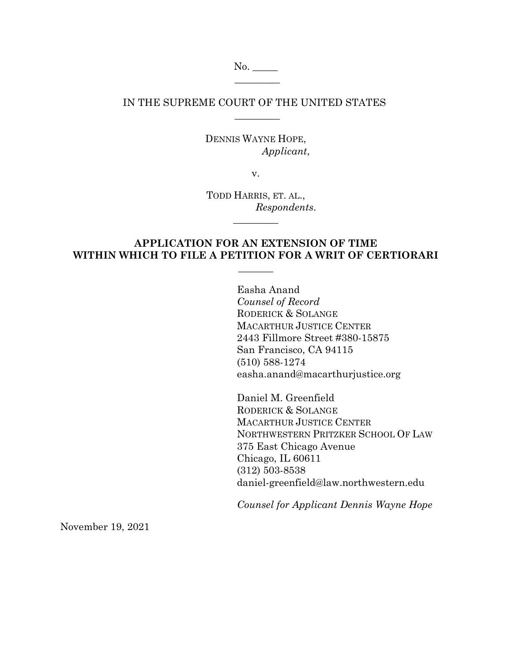No. \_\_\_\_\_  $\frac{1}{2}$ 

## IN THE SUPREME COURT OF THE UNITED STATES  $\frac{\frac{1}{2} \left( \frac{1}{2} \right) \left( \frac{1}{2} \right) \left( \frac{1}{2} \right) \left( \frac{1}{2} \right) \left( \frac{1}{2} \right) \left( \frac{1}{2} \right) \left( \frac{1}{2} \right) \left( \frac{1}{2} \right) \left( \frac{1}{2} \right) \left( \frac{1}{2} \right) \left( \frac{1}{2} \right) \left( \frac{1}{2} \right) \left( \frac{1}{2} \right) \left( \frac{1}{2} \right) \left( \frac{1}{2} \right) \left( \frac{1}{2} \right) \left($

DENNIS WAYNE HOPE,  *Applicant*,

v.

TODD HARRIS, ET. AL.,  *Respondents*.

 $\overline{\phantom{a}}$ 

## **APPLICATION FOR AN EXTENSION OF TIME WITHIN WHICH TO FILE A PETITION FOR A WRIT OF CERTIORARI**

 $\overline{\phantom{a}}$ 

Easha Anand *Counsel of Record* RODERICK & SOLANGE MACARTHUR JUSTICE CENTER 2443 Fillmore Street #380-15875 San Francisco, CA 94115 (510) 588-1274 easha.anand@macarthurjustice.org

Daniel M. Greenfield RODERICK & SOLANGE MACARTHUR JUSTICE CENTER NORTHWESTERN PRITZKER SCHOOL OF LAW 375 East Chicago Avenue Chicago, IL 60611 (312) 503-8538 daniel-greenfield@law.northwestern.edu

*Counsel for Applicant Dennis Wayne Hope*

November 19, 2021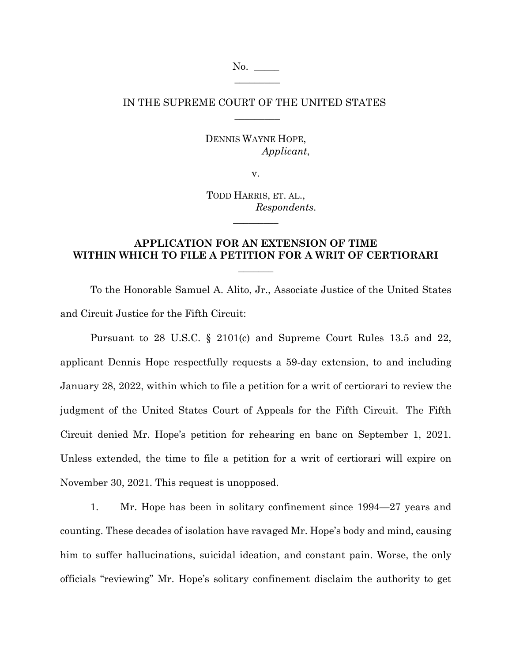No.  $\_\_$  $\frac{1}{2}$ 

## IN THE SUPREME COURT OF THE UNITED STATES  $\frac{\frac{1}{2} \left( \frac{1}{2} \right) \left( \frac{1}{2} \right) \left( \frac{1}{2} \right) \left( \frac{1}{2} \right) \left( \frac{1}{2} \right) \left( \frac{1}{2} \right) \left( \frac{1}{2} \right) \left( \frac{1}{2} \right) \left( \frac{1}{2} \right) \left( \frac{1}{2} \right) \left( \frac{1}{2} \right) \left( \frac{1}{2} \right) \left( \frac{1}{2} \right) \left( \frac{1}{2} \right) \left( \frac{1}{2} \right) \left( \frac{1}{2} \right) \left($

DENNIS WAYNE HOPE,  *Applicant*,

v.

TODD HARRIS, ET. AL.,  *Respondents*.

 $\overline{\phantom{a}}$ 

## **APPLICATION FOR AN EXTENSION OF TIME WITHIN WHICH TO FILE A PETITION FOR A WRIT OF CERTIORARI**

 $\overline{\phantom{a}}$ 

 To the Honorable Samuel A. Alito, Jr., Associate Justice of the United States and Circuit Justice for the Fifth Circuit:

 Pursuant to 28 U.S.C. § 2101(c) and Supreme Court Rules 13.5 and 22, applicant Dennis Hope respectfully requests a 59-day extension, to and including January 28, 2022, within which to file a petition for a writ of certiorari to review the judgment of the United States Court of Appeals for the Fifth Circuit. The Fifth Circuit denied Mr. Hope's petition for rehearing en banc on September 1, 2021. Unless extended, the time to file a petition for a writ of certiorari will expire on November 30, 2021. This request is unopposed.

 1. Mr. Hope has been in solitary confinement since 1994—27 years and counting. These decades of isolation have ravaged Mr. Hope's body and mind, causing him to suffer hallucinations, suicidal ideation, and constant pain. Worse, the only officials "reviewing" Mr. Hope's solitary confinement disclaim the authority to get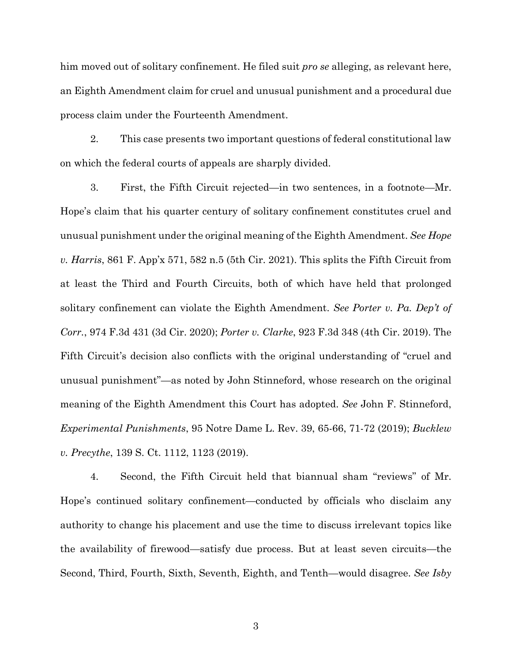him moved out of solitary confinement. He filed suit *pro se* alleging, as relevant here, an Eighth Amendment claim for cruel and unusual punishment and a procedural due process claim under the Fourteenth Amendment.

2. This case presents two important questions of federal constitutional law on which the federal courts of appeals are sharply divided.

3. First, the Fifth Circuit rejected—in two sentences, in a footnote—Mr. Hope's claim that his quarter century of solitary confinement constitutes cruel and unusual punishment under the original meaning of the Eighth Amendment. *See Hope v. Harris*, 861 F. App'x 571, 582 n.5 (5th Cir. 2021). This splits the Fifth Circuit from at least the Third and Fourth Circuits, both of which have held that prolonged solitary confinement can violate the Eighth Amendment. *See Porter v. Pa. Dep't of Corr.*, 974 F.3d 431 (3d Cir. 2020); *Porter v. Clarke*, 923 F.3d 348 (4th Cir. 2019). The Fifth Circuit's decision also conflicts with the original understanding of "cruel and unusual punishment"—as noted by John Stinneford, whose research on the original meaning of the Eighth Amendment this Court has adopted. *See* John F. Stinneford, *Experimental Punishments*, 95 Notre Dame L. Rev. 39, 65-66, 71-72 (2019); *Bucklew v. Precythe*, 139 S. Ct. 1112, 1123 (2019).

4. Second, the Fifth Circuit held that biannual sham "reviews" of Mr. Hope's continued solitary confinement—conducted by officials who disclaim any authority to change his placement and use the time to discuss irrelevant topics like the availability of firewood—satisfy due process. But at least seven circuits—the Second, Third, Fourth, Sixth, Seventh, Eighth, and Tenth—would disagree. *See Isby* 

3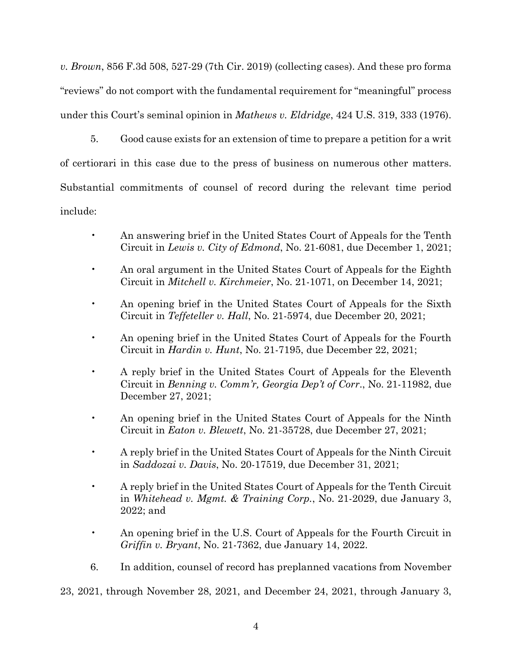*v. Brown*, 856 F.3d 508, 527-29 (7th Cir. 2019) (collecting cases). And these pro forma "reviews" do not comport with the fundamental requirement for "meaningful" process under this Court's seminal opinion in *Mathews v. Eldridge*, 424 U.S. 319, 333 (1976).

 5. Good cause exists for an extension of time to prepare a petition for a writ of certiorari in this case due to the press of business on numerous other matters. Substantial commitments of counsel of record during the relevant time period include:

- An answering brief in the United States Court of Appeals for the Tenth Circuit in *Lewis v. City of Edmond*, No. 21-6081, due December 1, 2021;
- An oral argument in the United States Court of Appeals for the Eighth Circuit in *Mitchell v. Kirchmeier*, No. 21-1071, on December 14, 2021;
- An opening brief in the United States Court of Appeals for the Sixth Circuit in *Teffeteller v. Hall*, No. 21-5974, due December 20, 2021;
- An opening brief in the United States Court of Appeals for the Fourth Circuit in *Hardin v. Hunt*, No. 21-7195, due December 22, 2021;
- A reply brief in the United States Court of Appeals for the Eleventh Circuit in *Benning v. Comm'r, Georgia Dep't of Corr*., No. 21-11982, due December 27, 2021;
- An opening brief in the United States Court of Appeals for the Ninth Circuit in *Eaton v. Blewett*, No. 21-35728, due December 27, 2021;
- A reply brief in the United States Court of Appeals for the Ninth Circuit in *Saddozai v. Davis*, No. 20-17519, due December 31, 2021;
- A reply brief in the United States Court of Appeals for the Tenth Circuit in *Whitehead v. Mgmt. & Training Corp.*, No. 21-2029, due January 3, 2022; and
- An opening brief in the U.S. Court of Appeals for the Fourth Circuit in *Griffin v. Bryant*, No. 21-7362, due January 14, 2022.
- 6. In addition, counsel of record has preplanned vacations from November

23, 2021, through November 28, 2021, and December 24, 2021, through January 3,